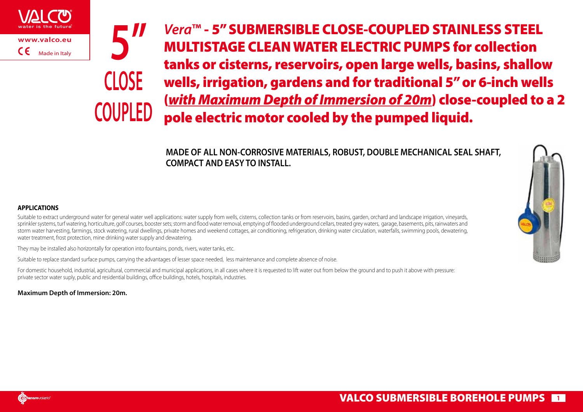



*Vera***™** - 5" SUBMERSIBLE CLOSE-COUPLED STAINLESS STEEL MULTISTAGE CLEAN WATER ELECTRIC PUMPS for collection tanks or cisterns, reservoirs, open large wells, basins, shallow wells, irrigation, gardens and for traditional 5" or 6-inch wells (*with Maximum Depth of Immersion of 20m*) close-coupled to a 2 pole electric motor cooled by the pumped liquid.

**MADE OF ALL NON-CORROSIVE MATERIALS, ROBUST, DOUBLE MECHANICAL SEAL SHAFT, COMPACT AND EASY TO INSTALL.**



## **APPLICATIONS**

Suitable to extract underground water for general water well applications: water supply from wells, cisterns, collection tanks or from reservoirs, basins, garden, orchard and landscape irrigation, vineyards, sprinkler systems, turf watering, horticulture, golf courses, booster sets; storm and flood water removal, emptying of flooded underground cellars, treated grey waters, garage, basements, pits, rainwaters and storm water harvesting, farmings, stock watering, rural dwellings, private homes and weekend cottages, air conditioning, refrigeration, drinking water circulation, waterfalls, swimming pools, dewatering, water treatment, frost protection, mine drinking water supply and dewatering.

They may be installed also horizontally for operation into fountains, ponds, rivers, water tanks, etc.

Suitable to replace standard surface pumps, carrying the advantages of lesser space needed, less maintenance and complete absence of noise.

For domestic household, industrial, agricultural, commercial and municipal applications, in all cases where it is requested to lift water out from below the ground and to push it above with pressure: private sector water suply, public and residential buildings, office buildings, hotels, hospitals, industries.

**Maximum Depth of Immersion: 20m.**